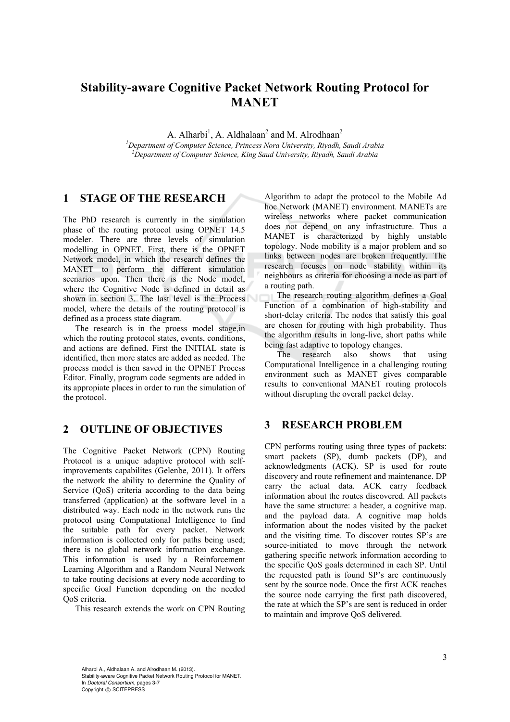# **Stability-aware Cognitive Packet Network Routing Protocol for MANET**

A. Alharbi<sup>1</sup>, A. Aldhalaan<sup>2</sup> and M. Alrodhaan<sup>2</sup>

*1 Department of Computer Science, Princess Nora University, Riyadh, Saudi Arabia 2 Department of Computer Science, King Saud University, Riyadh, Saudi Arabia* 

### **1 STAGE OF THE RESEARCH**

The PhD research is currently in the simulation phase of the routing protocol using OPNET 14.5 modeler. There are three levels of simulation modelling in OPNET. First, there is the OPNET Network model, in which the research defines the MANET to perform the different simulation scenarios upon. Then there is the Node model, where the Cognitive Node is defined in detail as shown in section 3. The last level is the Process model, where the details of the routing protocol is defined as a process state diagram.

The research is in the proess model stage,in which the routing protocol states, events, conditions, and actions are defined. First the INITIAL state is identified, then more states are added as needed. The process model is then saved in the OPNET Process Editor. Finally, program code segments are added in its appropiate places in order to run the simulation of the protocol.

## **2 OUTLINE OF OBJECTIVES**

The Cognitive Packet Network (CPN) Routing Protocol is a unique adaptive protocol with selfimprovements capabilites (Gelenbe, 2011). It offers the network the ability to determine the Quality of Service (QoS) criteria according to the data being transferred (application) at the software level in a distributed way. Each node in the network runs the protocol using Computational Intelligence to find the suitable path for every packet. Network information is collected only for paths being used; there is no global network information exchange. This information is used by a Reinforcement Learning Algorithm and a Random Neural Network to take routing decisions at every node according to specific Goal Function depending on the needed QoS criteria.

This research extends the work on CPN Routing

Algorithm to adapt the protocol to the Mobile Ad hoc Network (MANET) environment. MANETs are wireless networks where packet communication does not depend on any infrastructure. Thus a MANET is characterized by highly unstable topology. Node mobility is a major problem and so links between nodes are broken frequently. The research focuses on node stability within its neighbours as criteria for choosing a node as part of a routing path.

The research routing algorithm defines a Goal Function of a combination of high-stability and short-delay criteria. The nodes that satisfy this goal are chosen for routing with high probability. Thus the algorithm results in long-live, short paths while being fast adaptive to topology changes.

The research also shows that using Computational Intelligence in a challenging routing environment such as MANET gives comparable results to conventional MANET routing protocols without disrupting the overall packet delay.

### **3 RESEARCH PROBLEM**

CPN performs routing using three types of packets: smart packets (SP), dumb packets (DP), and acknowledgments (ACK). SP is used for route discovery and route refinement and maintenance. DP carry the actual data. ACK carry feedback information about the routes discovered. All packets have the same structure: a header, a cognitive map. and the payload data. A cognitive map holds information about the nodes visited by the packet and the visiting time. To discover routes SP's are source-initiated to move through the network gathering specific network information according to the specific QoS goals determined in each SP. Until the requested path is found SP's are continuously sent by the source node. Once the first ACK reaches the source node carrying the first path discovered, the rate at which the SP's are sent is reduced in order to maintain and improve QoS delivered.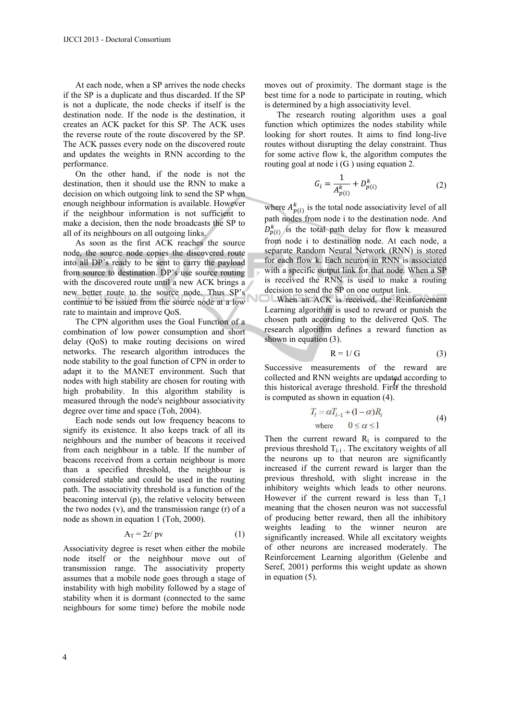At each node, when a SP arrives the node checks if the SP is a duplicate and thus discarded. If the SP is not a duplicate, the node checks if itself is the destination node. If the node is the destination, it creates an ACK packet for this SP. The ACK uses the reverse route of the route discovered by the SP. The ACK passes every node on the discovered route and updates the weights in RNN according to the performance.

On the other hand, if the node is not the destination, then it should use the RNN to make a decision on which outgoing link to send the SP when enough neighbour information is available. However if the neighbour information is not sufficient to make a decision, then the node broadcasts the SP to all of its neighbours on all outgoing links.

As soon as the first ACK reaches the source node, the source node copies the discovered route into all DP's ready to be sent to carry the payload from source to destination. DP's use source routing with the discovered route until a new ACK brings a new better route to the source node. Thus SP's continue to be issued from the source node at a low rate to maintain and improve QoS.

The CPN algorithm uses the Goal Function of a combination of low power consumption and short delay (QoS) to make routing decisions on wired networks. The research algorithm introduces the node stability to the goal function of CPN in order to adapt it to the MANET environment. Such that nodes with high stability are chosen for routing with high probability. In this algorithm stability is measured through the node's neighbour associativity degree over time and space (Toh, 2004).

Each node sends out low frequency beacons to signify its existence. It also keeps track of all its neighbours and the number of beacons it received from each neighbour in a table. If the number of beacons received from a certain neighbour is more than a specified threshold, the neighbour is considered stable and could be used in the routing path. The associativity threshold is a function of the beaconing interval (p), the relative velocity between the two nodes (v), and the transmission range (r) of a node as shown in equation 1 (Toh, 2000).

$$
A_T = 2r / pv \tag{1}
$$

Associativity degree is reset when either the mobile node itself or the neighbour move out of transmission range. The associativity property assumes that a mobile node goes through a stage of instability with high mobility followed by a stage of stability when it is dormant (connected to the same neighbours for some time) before the mobile node

moves out of proximity. The dormant stage is the best time for a node to participate in routing, which is determined by a high associativity level.

The research routing algorithm uses a goal function which optimizes the nodes stability while looking for short routes. It aims to find long-live routes without disrupting the delay constraint. Thus for some active flow k, the algorithm computes the routing goal at node i (G ) using equation 2.

$$
G_i = \frac{1}{A_{p(i)}^k} + D_{p(i)}^k
$$
 (2)

where  $A_{p(i)}^k$  is the total node associativity level of all path nodes from node i to the destination node. And  $D_{p(i)}^k$  is the total path delay for flow k measured from node i to destination node. At each node, a separate Random Neural Network (RNN) is stored for each flow k. Each neuron in RNN is associated with a specific output link for that node. When a SP is received the RNN is used to make a routing decision to send the SP on one output link.

When an ACK is received, the Reinforcement Learning algorithm is used to reward or punish the chosen path according to the delivered QoS. The research algorithm defines a reward function as shown in equation (3).

$$
R = 1/G \tag{3}
$$

Successive measurements of the reward are collected and RNN weights are updated according to this historical average threshold. First the threshold this historical average threshold. is computed as shown in equation (4).

$$
T_i = \alpha T_{i-1} + (1 - \alpha)R_i
$$
  
where  $0 \le \alpha \le 1$  (4)

Then the current reward  $R_1$  is compared to the previous threshold  $T_{l-1}$ . The excitatory weights of all the neurons up to that neuron are significantly increased if the current reward is larger than the previous threshold, with slight increase in the inhibitory weights which leads to other neurons. However if the current reward is less than  $T<sub>1</sub>1$ meaning that the chosen neuron was not successful of producing better reward, then all the inhibitory weights leading to the winner neuron are significantly increased. While all excitatory weights of other neurons are increased moderately. The Reinforcement Learning algorithm (Gelenbe and Seref, 2001) performs this weight update as shown in equation (5).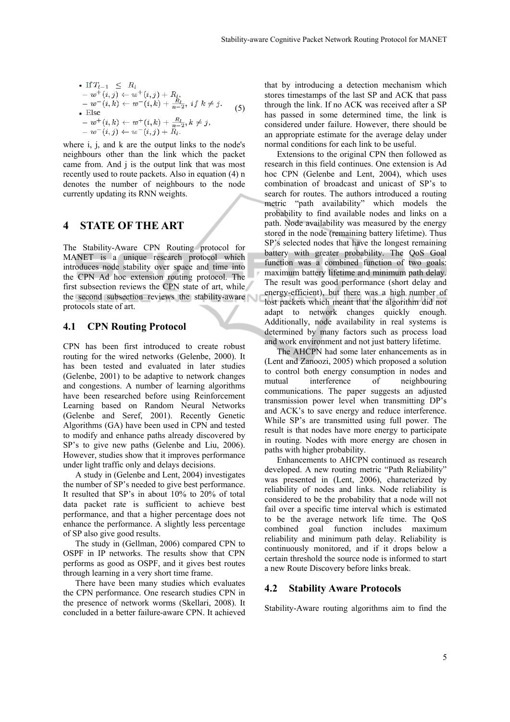• If 
$$
T_{l-1} \leq R_l
$$
  
\n-  $w^+(i, j) \leftarrow w^+(i, j) + R_l$ ,  
\n-  $w^-(i, k) \leftarrow w^-(i, k) + \frac{R_l}{n-2}$ , if  $k \neq j$ .  
\n• Else  
\n-  $w^+(i, k) \leftarrow w^+(i, k) + \frac{R_l}{n-2}$ ,  $k \neq j$ ,  
\n-  $w^-(i, j) \leftarrow w^-(i, j) + R_l$ .

where i, j, and k are the output links to the node's neighbours other than the link which the packet came from. And j is the output link that was most recently used to route packets. Also in equation (4) n denotes the number of neighbours to the node currently updating its RNN weights.

#### **4 STATE OF THE ART**

The Stability-Aware CPN Routing protocol for MANET is a unique research protocol which introduces node stability over space and time into the CPN Ad hoc extension routing protocol. The first subsection reviews the CPN state of art, while the second subsection reviews the stability-aware protocols state of art.

#### **4.1 CPN Routing Protocol**

CPN has been first introduced to create robust routing for the wired networks (Gelenbe, 2000). It has been tested and evaluated in later studies (Gelenbe, 2001) to be adaptive to network changes and congestions. A number of learning algorithms have been researched before using Reinforcement Learning based on Random Neural Networks (Gelenbe and Seref, 2001). Recently Genetic Algorithms (GA) have been used in CPN and tested to modify and enhance paths already discovered by SP's to give new paths (Gelenbe and Liu, 2006). However, studies show that it improves performance under light traffic only and delays decisions.

A study in (Gelenbe and Lent, 2004) investigates the number of SP's needed to give best performance. It resulted that SP's in about 10% to 20% of total data packet rate is sufficient to achieve best performance, and that a higher percentage does not enhance the performance. A slightly less percentage of SP also give good results.

The study in (Gellman, 2006) compared CPN to OSPF in IP networks. The results show that CPN performs as good as OSPF, and it gives best routes through learning in a very short time frame.

There have been many studies which evaluates the CPN performance. One research studies CPN in the presence of network worms (Skellari, 2008). It concluded in a better failure-aware CPN. It achieved

that by introducing a detection mechanism which stores timestamps of the last SP and ACK that pass through the link. If no ACK was received after a SP has passed in some determined time, the link is considered under failure. However, there should be an appropriate estimate for the average delay under normal conditions for each link to be useful.

Extensions to the original CPN then followed as research in this field continues. One extension is Ad hoc CPN (Gelenbe and Lent, 2004), which uses combination of broadcast and unicast of SP's to search for routes. The authors introduced a routing metric "path availability" which models the probability to find available nodes and links on a path. Node availability was measured by the energy stored in the node (remaining battery lifetime). Thus SP's selected nodes that have the longest remaining battery with greater probability. The QoS Goal function was a combined function of two goals: maximum battery lifetime and minimum path delay. The result was good performance (short delay and energy-efficient), but there was a high number of lost packets which meant that the algorithm did not adapt to network changes quickly enough. Additionally, node availability in real systems is determined by many factors such as process load and work environment and not just battery lifetime.

The AHCPN had some later enhancements as in (Lent and Zanoozi, 2005) which proposed a solution to control both energy consumption in nodes and mutual interference of neighbouring communications. The paper suggests an adjusted transmission power level when transmitting DP's and ACK's to save energy and reduce interference. While SP's are transmitted using full power. The result is that nodes have more energy to participate in routing. Nodes with more energy are chosen in paths with higher probability.

Enhancements to AHCPN continued as research developed. A new routing metric "Path Reliability" was presented in (Lent, 2006), characterized by reliability of nodes and links. Node reliability is considered to be the probability that a node will not fail over a specific time interval which is estimated to be the average network life time. The QoS combined goal function includes maximum reliability and minimum path delay. Reliability is continuously monitored, and if it drops below a certain threshold the source node is informed to start a new Route Discovery before links break.

#### **4.2 Stability Aware Protocols**

Stability-Aware routing algorithms aim to find the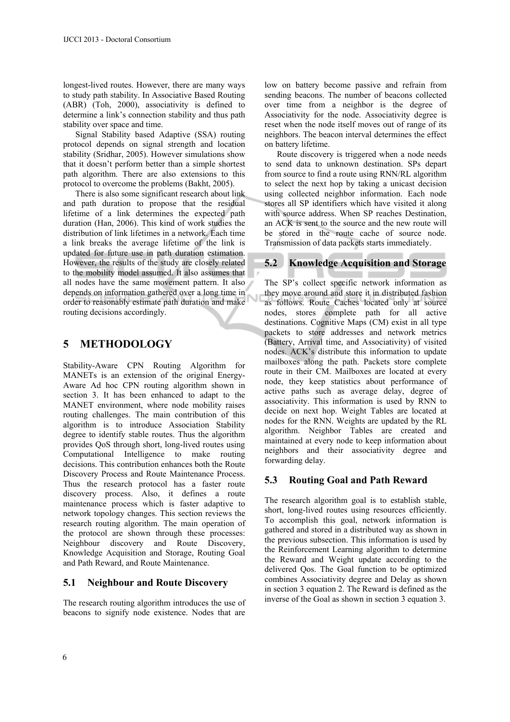longest-lived routes. However, there are many ways to study path stability. In Associative Based Routing (ABR) (Toh, 2000), associativity is defined to determine a link's connection stability and thus path stability over space and time.

Signal Stability based Adaptive (SSA) routing protocol depends on signal strength and location stability (Sridhar, 2005). However simulations show that it doesn't perform better than a simple shortest path algorithm. There are also extensions to this protocol to overcome the problems (Bakht, 2005).

There is also some significant research about link and path duration to propose that the residual lifetime of a link determines the expected path duration (Han, 2006). This kind of work studies the distribution of link lifetimes in a network. Each time a link breaks the average lifetime of the link is updated for future use in path duration estimation. However, the results of the study are closely related to the mobility model assumed. It also assumes that all nodes have the same movement pattern. It also depends on information gathered over a long time in order to reasonably estimate path duration and make routing decisions accordingly.

Ù

## **5 METHODOLOGY**

Stability-Aware CPN Routing Algorithm for MANETs is an extension of the original Energy-Aware Ad hoc CPN routing algorithm shown in section 3. It has been enhanced to adapt to the MANET environment, where node mobility raises routing challenges. The main contribution of this algorithm is to introduce Association Stability degree to identify stable routes. Thus the algorithm provides QoS through short, long-lived routes using Computational Intelligence to make routing decisions. This contribution enhances both the Route Discovery Process and Route Maintenance Process. Thus the research protocol has a faster route discovery process. Also, it defines a route maintenance process which is faster adaptive to network topology changes. This section reviews the research routing algorithm. The main operation of the protocol are shown through these processes: Neighbour discovery and Route Discovery, Knowledge Acquisition and Storage, Routing Goal and Path Reward, and Route Maintenance.

### **5.1 Neighbour and Route Discovery**

The research routing algorithm introduces the use of beacons to signify node existence. Nodes that are

low on battery become passive and refrain from sending beacons. The number of beacons collected over time from a neighbor is the degree of Associativity for the node. Associativity degree is reset when the node itself moves out of range of its neighbors. The beacon interval determines the effect on battery lifetime.

Route discovery is triggered when a node needs to send data to unknown destination. SPs depart from source to find a route using RNN/RL algorithm to select the next hop by taking a unicast decision using collected neighbor information. Each node stores all SP identifiers which have visited it along with source address. When SP reaches Destination, an ACK is sent to the source and the new route will be stored in the route cache of source node. Transmission of data packets starts immediately.

## **5.2 Knowledge Acquisition and Storage**

The SP's collect specific network information as they move around and store it in distributed fashion as follows. Route Caches located only at source nodes, stores complete path for all active destinations. Cognitive Maps (CM) exist in all type packets to store addresses and network metrics (Battery, Arrival time, and Associativity) of visited nodes. ACK's distribute this information to update mailboxes along the path. Packets store complete route in their CM. Mailboxes are located at every node, they keep statistics about performance of active paths such as average delay, degree of associativity. This information is used by RNN to decide on next hop. Weight Tables are located at nodes for the RNN. Weights are updated by the RL algorithm. Neighbor Tables are created and maintained at every node to keep information about neighbors and their associativity degree and forwarding delay.

### **5.3 Routing Goal and Path Reward**

The research algorithm goal is to establish stable, short, long-lived routes using resources efficiently. To accomplish this goal, network information is gathered and stored in a distributed way as shown in the previous subsection. This information is used by the Reinforcement Learning algorithm to determine the Reward and Weight update according to the delivered Qos. The Goal function to be optimized combines Associativity degree and Delay as shown in section 3 equation 2. The Reward is defined as the inverse of the Goal as shown in section 3 equation 3.